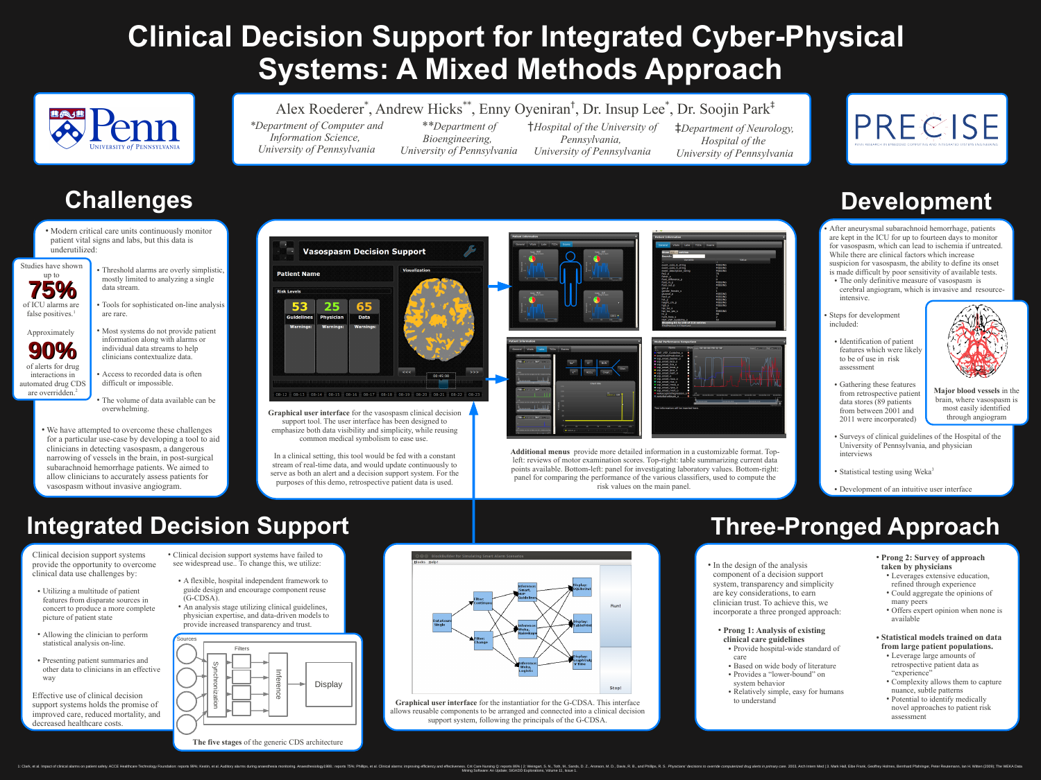# **Clinical Decision Support for Integrated Cyber-Physical Systems: A Mixed Methods Approach**





# **Challenges**

- Threshold alarms are overly simplistic, mostly limited to analyzing a single data stream.
- Tools for sophisticated on-line analysis are rare.
- Most systems do not provide patient information along with alarms or individual data streams to help clinicians contextualize data.
- Access to recorded data is often difficult or impossible.
- The volume of data available can be overwhelming.



Studies have shown

*\*Department of Computer and Information Science, University of Pennsylvania*

*\*\*Department of Bioengineering, University of Pennsylvania*

- After aneurysmal subarachnoid hemorrhage, patients are kept in the ICU for up to fourteen days to monitor for vasospasm, which can lead to ischemia if untreated. While there are clinical factors which increase suspicion for vasospasm, the ability to define its onset is made difficult by poor sensitivity of available tests.
- The only definitive measure of vasospasm is cerebral angiogram, which is invasive and resourceintensive.
- Steps for development included:
- Identification of patient features which were likely to be of use in risk assessment
- Gathering these features from retrospective patient data stores (89 patients from between 2001 and 2011 were incorporated)



†*Hospital of the University of Pennsylvania, University of Pennsylvania*

of alerts for drug interactions in automated drug CDS are overridden.<sup>2</sup>

‡*Department of Neurology, Hospital of the University of Pennsylvania*



# **Integrated Decision Support**

Clinical decision support systems provide the opportunity to overcome clinical data use challenges by:

- Clinical decision support systems have failed to see widespread use.. To change this, we utilize:
- A flexible, hospital independent framework to guide design and encourage component reuse (G-CDSA).
- An analysis stage utilizing clinical guidelines, physician expertise, and data-driven models to provide increased transparency and trust.

• Modern critical care units continuously monitor patient vital signs and labs, but this data is underutilized:

- Utilizing a multitude of patient features from disparate sources in concert to produce a more complete picture of patient state
- Allowing the clinician to perform statistical analysis on-line.
- Presenting patient summaries and other data to clinicians in an effective way

• We have attempted to overcome these challenges for a particular use-case by developing a tool to aid clinicians in detecting vasospasm, a dangerous narrowing of vessels in the brain, in post-surgical subarachnoid hemorrhage patients. We aimed to allow clinicians to accurately assess patients for vasospasm without invasive angiogram.

Effective use of clinical decision support systems holds the promise of improved care, reduced mortality, and decreased healthcare costs.



## **Development**

- In the design of the analysis component of a decision support system, transparency and simplicity are key considerations, to earn clinician trust. To achieve this, we incorporate a three pronged approach:
- **Prong 1: Analysis of existing clinical care guidelines** • Provide hospital-wide standard of
- care • Based on wide body of literature
- Provides a "lower-bound" on
- system behavior • Relatively simple, easy for humans to understand



 $\textsf{general}$  Vitals Labs TCDs Exams **Vasospasm Decision Support Patient Name** fio2\_p<br>fisher\_s<br>fluid\_difference\_p  $\begin{array}{c|c}\n\bullet & \bullet & \bullet \\
\bullet & \bullet & \bullet & \bullet \\
\hline\n\end{array}$  $\begin{array}{ccc} 0 & 150 \\ 0 & 50 \end{array}$   $\begin{array}{ccc} 100 & 150 \\ 100 & 150 \end{array}$ fluid\_in\_p<br>fluid\_in\_p<br>fluid\_out\_p **MISSING<br>MISSING** est\_p<br>gender\_female\_s<br>glucose\_p<br>hco3\_p<br>hct\_p<br>height\_cm\_p **Risk Levels** MISSING<br>MISSING<br>MISSING<br>MISSING 53 25 65 hgb\_p<br>hpi\_loc\_s hpi\_loc\_yes\_s hr\_p<br>hunt\_hess\_s **Guidelines Physician Data**  $\frac{1}{100}$  150 HUP\_VSP\_Guideline\_o nowing 81 to 100 of 216 entries **Warnings: Warnings: Warnings:** Labs TCDs Exams HUP\_VSP\_Guideline\_o ■ soojinRulePrediction\_c<br>■ vsp\_onset\_basilar\_o Na<sup>+</sup> CI BUN vsp\_onset\_laca\_o  $\bullet$  vsp\_onset\_lica\_o vsp\_onset\_lmca\_o  $k^+$   $HCO<sub>3</sub>$  Creat. vsp\_onset\_lpca\_o  $<<$ vsp\_onset\_lvert\_c 00:45:00 vsp\_onset\_o  $\blacksquare$  vsp onset raca c vsp onset rica o  $\mathbb{R}$ vsp\_onset\_rmca\_c vsp\_onset\_rpca\_o  $\blacksquare$  vsp\_onset\_rvert\_o  $-08-12 - 08-13 - 08-14 - 08-15 - 08-16 - 08-17 - 08-18 - 08-19 - 08-20 - 08-21 - 08-22 - 08-23$  $\frac{131}{\text{sodium}_p:135}$  $\begin{array}{c|c|c|c} \hline \text{oo} & \text{oo} & \text{oo} \end{array}$ st information will be inserted her Graphical user interface for the vasospasm clinical decision and through angiogram and through angiogram and through angiogram and through angiogram and through angiogram and through angiogram and through angiogram and thr support tool. The user interface has been designed to  $\frac{1}{25}$  50 75 100 125 emphasize both data visibility and simplicity, while reusing common medical symbolism to ease use. **Additional menus** provide more detailed information in a customizable format. Top-In a clinical setting, this tool would be fed with a constant left: reviews of motor examination scores. Top-right: table summarizing current data stream of real-time data, and would update continuously to points available. Bottom-left: panel for investigating laboratory values. Bottom-right: serve as both an alert and a decision support system. For the panel for comparing the performance of the various classifiers, used to compute the purposes of this demo, retrospective patient data is used. risk values on the main panel.





Approximately

- **Prong 2: Survey of approach taken by physicians**
- Leverages extensive education, refined through experience
- Could aggregate the opinions of many peers
- Offers expert opinion when none is available
- **Statistical models trained on data from large patient populations.** 
	- Leverage large amounts of retrospective patient data as "experience"
	- Complexity allows them to capture nuance, subtle patterns
	- Potential to identify medically novel approaches to patient risk assessment



### Alex Roederer<sup>\*</sup>, Andrew Hicks<sup>\*\*</sup>, Enny Oyeniran<sup>†</sup>, Dr. Insup Lee<sup>\*</sup>, Dr. Soojin Park<sup>‡</sup>

**Graphical user interface** for the instantiatior for the G-CDSA. This interface allows reusable components to be arranged and connected into a clinical decision support system, following the principals of the G-CDSA.

**Major blood vessels** in the brain, where vasospasm is most easily identified

- Surveys of clinical guidelines of the Hospital of the University of Pennsylvania, and physician interviews
- Statistical testing using Weka<sup>3</sup>

• Development of an intuitive user interface